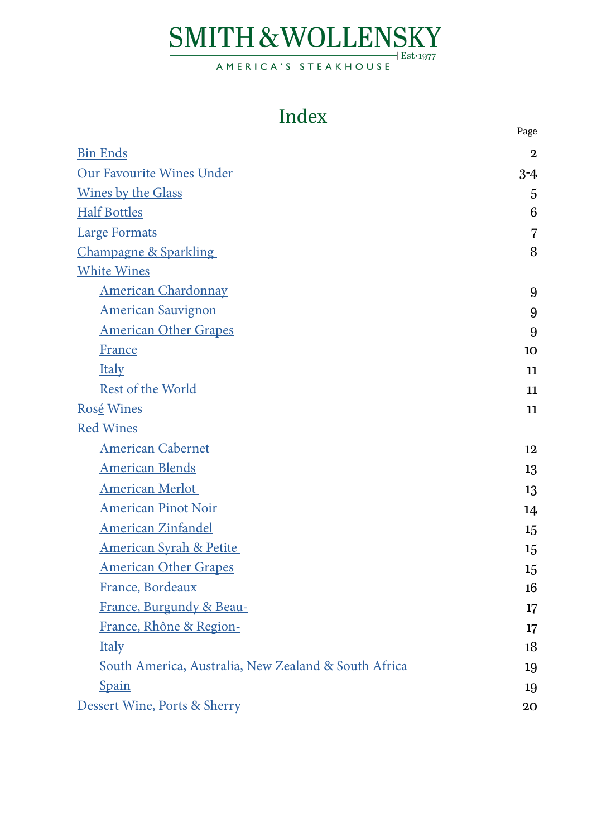# SMITH & WOLLENSKY

# Index

<span id="page-0-0"></span>

|                                                      | Page        |
|------------------------------------------------------|-------------|
| <b>Bin Ends</b>                                      | $\mathbf 2$ |
| <b>Our Favourite Wines Under</b>                     | $3 - 4$     |
| <b>Wines by the Glass</b>                            | 5           |
| <b>Half Bottles</b>                                  | 6           |
| <b>Large Formats</b>                                 | 7           |
| <b>Champagne &amp; Sparkling</b>                     | 8           |
| <b>White Wines</b>                                   |             |
| <b>American Chardonnay</b>                           | 9           |
| <b>American Sauvignon</b>                            | 9           |
| <b>American Other Grapes</b>                         | 9           |
| France                                               | 10          |
| <b>Italy</b>                                         | 11          |
| <b>Rest of the World</b>                             | 11          |
| Rosé Wines                                           | 11          |
| <b>Red Wines</b>                                     |             |
| <b>American Cabernet</b>                             | 12          |
| <b>American Blends</b>                               | 13          |
| <b>American Merlot</b>                               | 13          |
| <b>American Pinot Noir</b>                           | 14          |
| <b>American Zinfandel</b>                            | 15          |
| <b>American Syrah &amp; Petite</b>                   | 15          |
| American Other Grapes                                | 15          |
| France, Bordeaux                                     | 16          |
| France, Burgundy & Beau-                             | 17          |
| France, Rhône & Region-                              | 17          |
| <b>Italy</b>                                         | 18          |
| South America, Australia, New Zealand & South Africa | 19          |
| <b>Spain</b>                                         | 19          |
| Dessert Wine, Ports & Sherry                         | 20          |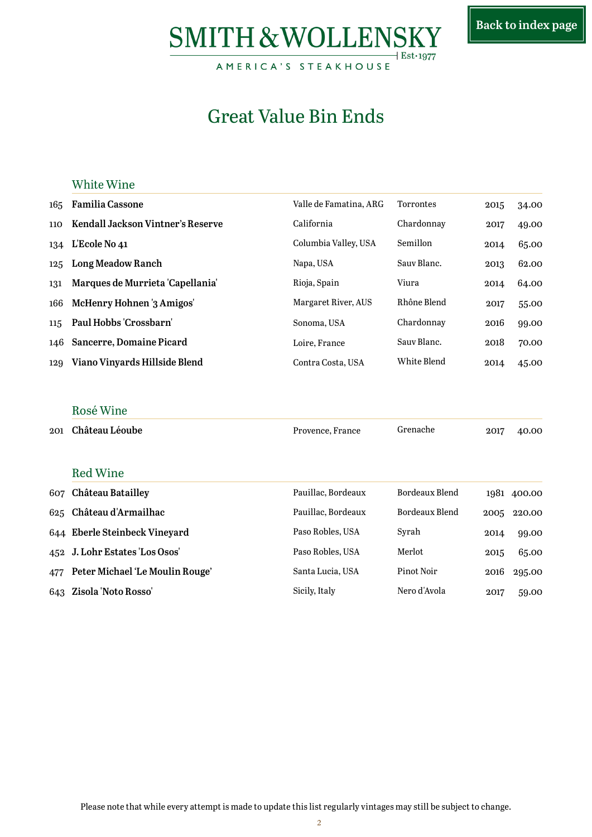AMERICA'S STEAKHOUSE

# Great Value Bin Ends

#### <span id="page-1-0"></span>White Wine

|     | 165 Familia Cassone                      | Valle de Famatina, ARG | <b>Torrontes</b> | 2015 | 34.00 |
|-----|------------------------------------------|------------------------|------------------|------|-------|
| 110 | <b>Kendall Jackson Vintner's Reserve</b> | California             | Chardonnay       | 2017 | 49.00 |
|     | 134 L'Ecole No 41                        | Columbia Valley, USA   | Semillon         | 2014 | 65.00 |
|     | 125 Long Meadow Ranch                    | Napa, USA              | Sauv Blanc.      | 2013 | 62.00 |
| 131 | Marques de Murrieta 'Capellania'         | Rioja, Spain           | Viura            | 2014 | 64.00 |
| 166 | McHenry Hohnen '3 Amigos'                | Margaret River, AUS    | Rhône Blend      | 2017 | 55.00 |
| 115 | Paul Hobbs 'Crossbarn'                   | Sonoma, USA            | Chardonnay       | 2016 | 99.00 |
|     | 146 Sancerre, Domaine Picard             | Loire, France          | Sauv Blanc.      | 2018 | 70.00 |
|     | 129 Viano Vinyards Hillside Blend        | Contra Costa, USA      | White Blend      | 2014 | 45.00 |

#### Rosé Wine

| 201 | Château Léoube                  | Provence, France   | Grenache       | 2017 | 40.00       |
|-----|---------------------------------|--------------------|----------------|------|-------------|
|     | <b>Red Wine</b>                 |                    |                |      |             |
|     | 607 Château Batailley           | Pauillac, Bordeaux | Bordeaux Blend |      | 1981 400.00 |
|     | 625 Château d'Armailhac         | Pauillac, Bordeaux | Bordeaux Blend | 2005 | 220.00      |
|     | 644 Eberle Steinbeck Vineyard   | Paso Robles, USA   | Syrah          | 2014 | 99.00       |
|     | 452 J. Lohr Estates 'Los Osos'  | Paso Robles, USA   | Merlot         | 2015 | 65.00       |
| 477 | Peter Michael 'Le Moulin Rouge' | Santa Lucia, USA   | Pinot Noir     | 2016 | 295.00      |
|     | 643 Zisola 'Noto Rosso'         | Sicily, Italy      | Nero d'Avola   | 2017 | 59.00       |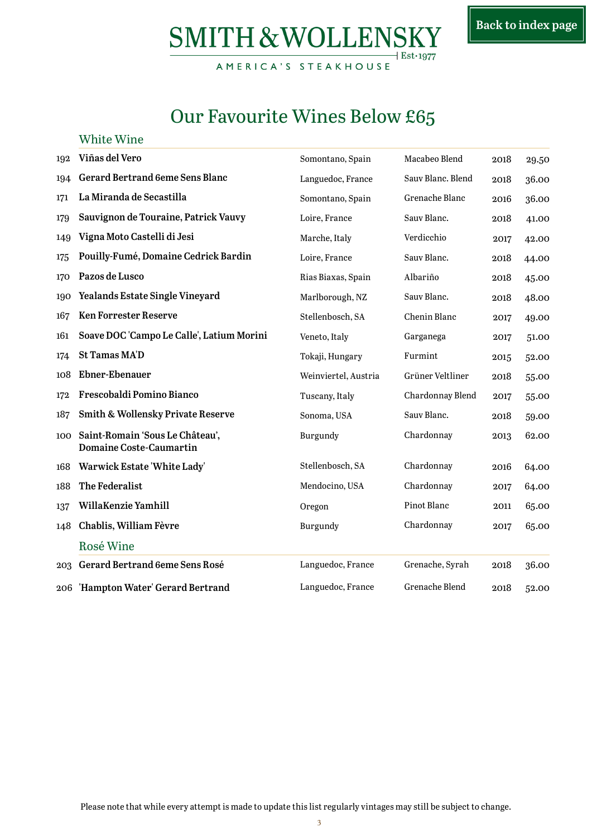AMERICA'S STEAKHOUSE

# Our Favourite Wines Below £65

<span id="page-2-0"></span>

|     | <b>White Wine</b>                                                 |                      |                   |      |       |
|-----|-------------------------------------------------------------------|----------------------|-------------------|------|-------|
| 192 | Viñas del Vero                                                    | Somontano, Spain     | Macabeo Blend     | 2018 | 29.50 |
| 194 | <b>Gerard Bertrand 6eme Sens Blanc</b>                            | Languedoc, France    | Sauv Blanc, Blend | 2018 | 36.00 |
| 171 | La Miranda de Secastilla                                          | Somontano, Spain     | Grenache Blanc    | 2016 | 36.00 |
| 179 | Sauvignon de Touraine, Patrick Vauvy                              | Loire, France        | Sauv Blanc.       | 2018 | 41.00 |
| 149 | Vigna Moto Castelli di Jesi                                       | Marche, Italy        | Verdicchio        | 2017 | 42.00 |
| 175 | Pouilly-Fumé, Domaine Cedrick Bardin                              | Loire, France        | Sauv Blanc.       | 2018 | 44.00 |
| 170 | Pazos de Lusco                                                    | Rias Biaxas, Spain   | Albariño          | 2018 | 45.00 |
| 190 | <b>Yealands Estate Single Vineyard</b>                            | Marlborough, NZ      | Sauv Blanc.       | 2018 | 48.00 |
| 167 | <b>Ken Forrester Reserve</b>                                      | Stellenbosch, SA     | Chenin Blanc      | 2017 | 49.00 |
| 161 | Soave DOC 'Campo Le Calle', Latium Morini                         | Veneto, Italy        | Garganega         | 2017 | 51.00 |
| 174 | <b>St Tamas MA'D</b>                                              | Tokaji, Hungary      | Furmint           | 2015 | 52.00 |
| 108 | Ebner-Ebenauer                                                    | Weinviertel, Austria | Grüner Veltliner  | 2018 | 55.00 |
| 172 | Frescobaldi Pomino Bianco                                         | Tuscany, Italy       | Chardonnay Blend  | 2017 | 55.00 |
| 187 | Smith & Wollensky Private Reserve                                 | Sonoma, USA          | Sauv Blanc.       | 2018 | 59.00 |
| 100 | Saint-Romain 'Sous Le Château',<br><b>Domaine Coste-Caumartin</b> | Burgundy             | Chardonnay        | 2013 | 62.00 |
| 168 | Warwick Estate 'White Lady'                                       | Stellenbosch, SA     | Chardonnay        | 2016 | 64.00 |
| 188 | The Federalist                                                    | Mendocino, USA       | Chardonnay        | 2017 | 64.00 |
| 137 | WillaKenzie Yamhill                                               | Oregon               | Pinot Blanc       | 2011 | 65.00 |
| 148 | Chablis, William Fèvre                                            | Burgundy             | Chardonnay        | 2017 | 65.00 |
|     | Rosé Wine                                                         |                      |                   |      |       |
| 203 | Gerard Bertrand 6eme Sens Rosé                                    | Languedoc, France    | Grenache, Syrah   | 2018 | 36.00 |
|     | 206 'Hampton Water' Gerard Bertrand                               | Languedoc, France    | Grenache Blend    | 2018 | 52.00 |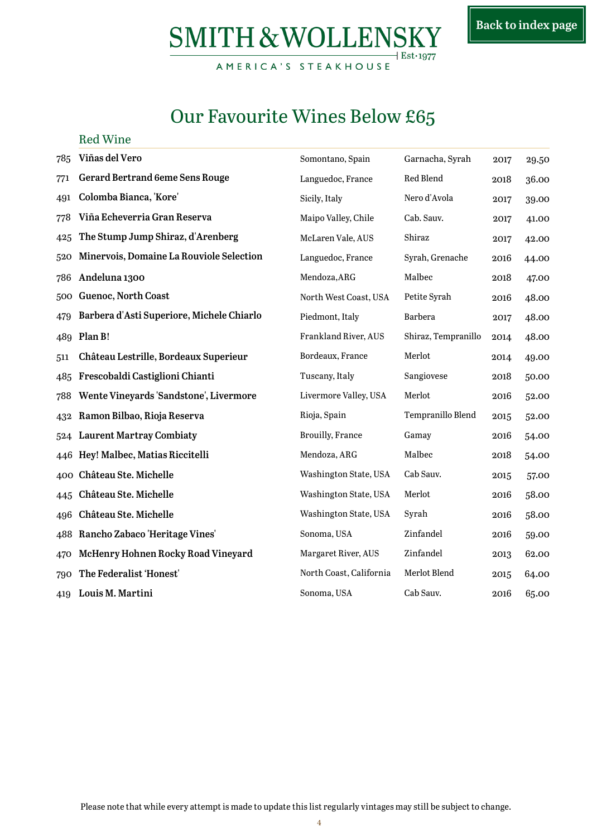AMERICA'S STEAKHOUSE

# Our Favourite Wines Below £65

#### Red Wine

| 785 | Viñas del Vero                            | Somontano, Spain        | Garnacha, Syrah     | 2017 | 29.50 |
|-----|-------------------------------------------|-------------------------|---------------------|------|-------|
| 771 | <b>Gerard Bertrand 6eme Sens Rouge</b>    | Languedoc, France       | Red Blend           | 2018 | 36.00 |
| 491 | Colomba Bianca, 'Kore'                    | Sicily, Italy           | Nero d'Avola        | 2017 | 39.00 |
| 778 | Viña Echeverria Gran Reserva              | Maipo Valley, Chile     | Cab. Sauv.          | 2017 | 41.00 |
| 425 | The Stump Jump Shiraz, d'Arenberg         | McLaren Vale, AUS       | Shiraz              | 2017 | 42.00 |
| 520 | Minervois, Domaine La Rouviole Selection  | Languedoc, France       | Syrah, Grenache     | 2016 | 44.00 |
| 786 | Andeluna 1300                             | Mendoza, ARG            | Malbec              | 2018 | 47.00 |
| 500 | <b>Guenoc, North Coast</b>                | North West Coast, USA   | Petite Syrah        | 2016 | 48.00 |
| 479 | Barbera d'Asti Superiore, Michele Chiarlo | Piedmont, Italy         | <b>Barbera</b>      | 2017 | 48.00 |
| 489 | Plan B!                                   | Frankland River, AUS    | Shiraz, Tempranillo | 2014 | 48.00 |
| 511 | Château Lestrille, Bordeaux Superieur     | Bordeaux, France        | Merlot              | 2014 | 49.00 |
| 485 | Frescobaldi Castiglioni Chianti           | Tuscany, Italy          | Sangiovese          | 2018 | 50.00 |
| 788 | Wente Vineyards 'Sandstone', Livermore    | Livermore Valley, USA   | Merlot              | 2016 | 52.00 |
| 432 | Ramon Bilbao, Rioja Reserva               | Rioja, Spain            | Tempranillo Blend   | 2015 | 52.00 |
| 524 | <b>Laurent Martray Combiaty</b>           | Brouilly, France        | Gamay               | 2016 | 54.00 |
| 446 | Hey! Malbec, Matias Riccitelli            | Mendoza, ARG            | Malbec              | 2018 | 54.00 |
|     | 400 Château Ste. Michelle                 | Washington State, USA   | Cab Sauv.           | 2015 | 57.00 |
| 445 | Château Ste. Michelle                     | Washington State, USA   | Merlot              | 2016 | 58.00 |
| 496 | Château Ste. Michelle                     | Washington State, USA   | Syrah               | 2016 | 58.00 |
| 488 | Rancho Zabaco 'Heritage Vines'            | Sonoma, USA             | Zinfandel           | 2016 | 59.00 |
| 470 | McHenry Hohnen Rocky Road Vineyard        | Margaret River, AUS     | Zinfandel           | 2013 | 62.00 |
| 790 | The Federalist 'Honest'                   | North Coast, California | Merlot Blend        | 2015 | 64.00 |
| 419 | Louis M. Martini                          | Sonoma, USA             | Cab Sauv.           | 2016 | 65.00 |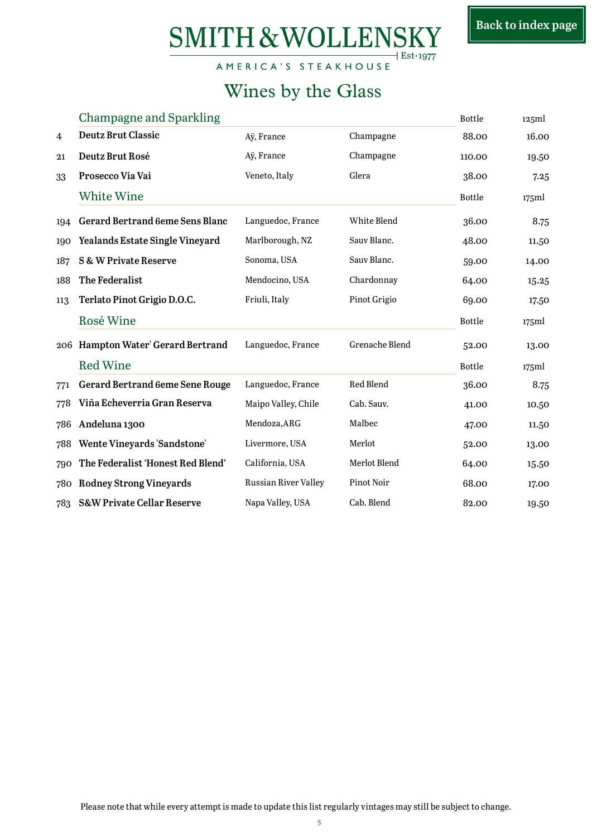# **SMITH & WOLLENSKY**  $\overline{+}$  Est $\cdot$ 1977

AMERICA'S STEAKHOUSE

# Wines by the Glass

<span id="page-4-0"></span>

|     | <b>Champagne and Sparkling</b>         |                             |                | <b>Bottle</b> | 125ml |
|-----|----------------------------------------|-----------------------------|----------------|---------------|-------|
| 4   | <b>Deutz Brut Classic</b>              | Aÿ, France                  | Champagne      | 88.00         | 16.00 |
| 21  | Deutz Brut Rosé                        | Aÿ, France                  | Champagne      | 110.00        | 19.50 |
| 33  | Prosecco Via Vai                       | Veneto, Italy               | Glera          | 38.00         | 7.25  |
|     | White Wine                             |                             |                | <b>Bottle</b> | 175ml |
| 194 | <b>Gerard Bertrand 6eme Sens Blanc</b> | Languedoc, France           | White Blend    | 36.00         | 8.75  |
| 190 | Yealands Estate Single Vineyard        | Marlborough, NZ             | Sauv Blanc.    | 48.00         | 11.50 |
| 187 | <b>S &amp; W Private Reserve</b>       | Sonoma, USA                 | Sauv Blanc.    | 59.00         | 14.00 |
| 188 | The Federalist                         | Mendocino, USA              | Chardonnay     | 64.00         | 15.25 |
| 113 | Terlato Pinot Grigio D.O.C.            | Friuli, Italy               | Pinot Grigio   | 69.00         | 17.50 |
|     | Rosé Wine                              |                             |                | <b>Bottle</b> | 175ml |
|     | 206 Hampton Water' Gerard Bertrand     | Languedoc, France           | Grenache Blend | 52.00         | 13.00 |
|     | <b>Red Wine</b>                        |                             |                | <b>Bottle</b> | 175ml |
| 771 | <b>Gerard Bertrand 6eme Sene Rouge</b> | Languedoc, France           | Red Blend      | 36.00         | 8.75  |
| 778 | Viña Echeverria Gran Reserva           | Maipo Valley, Chile         | Cab. Sauv.     | 41.00         | 10.50 |
| 786 | Andeluna 1300                          | Mendoza, ARG                | Malbec         | 47.00         | 11.50 |
| 788 | Wente Vineyards 'Sandstone'            | Livermore, USA              | Merlot         | 52.00         | 13.00 |
| 790 | The Federalist 'Honest Red Blend'      | California, USA             | Merlot Blend   | 64.00         | 15.50 |
| 780 | <b>Rodney Strong Vineyards</b>         | <b>Russian River Valley</b> | Pinot Noir     | 68.00         | 17.00 |
| 783 | <b>S&amp;W Private Cellar Reserve</b>  | Napa Valley, USA            | Cab. Blend     | 82.00         | 19.50 |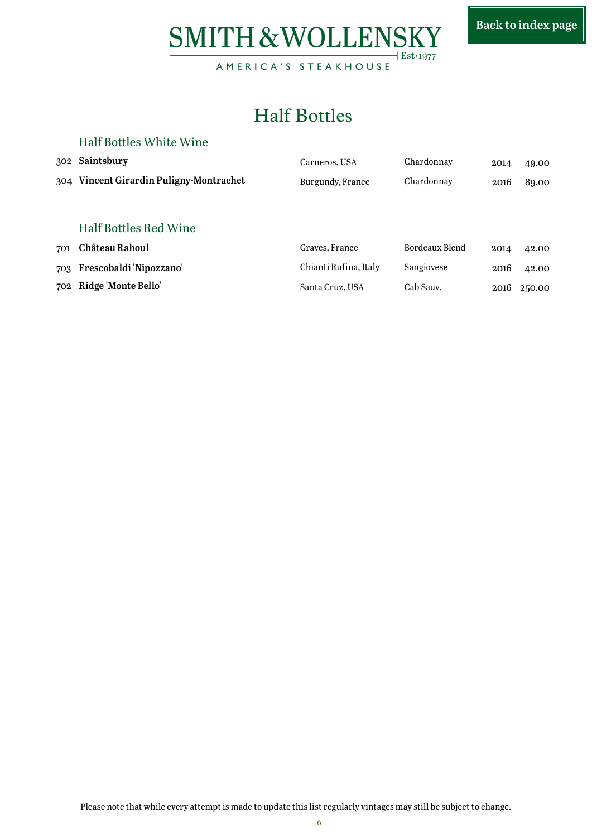



AMERICA'S STEAKHOUSE

# Half Bottles

#### <span id="page-5-0"></span>Half Bottles White Wine

| 302 | Saintsbury                              | Carneros, USA         | Chardonnay     | 2014 | 49.00  |
|-----|-----------------------------------------|-----------------------|----------------|------|--------|
|     | 304 Vincent Girardin Puligny-Montrachet | Burgundy, France      | Chardonnay     |      | 89.00  |
|     |                                         |                       |                |      |        |
|     | <b>Half Bottles Red Wine</b>            |                       |                |      |        |
| 701 | Château Rahoul                          | Graves, France        | Bordeaux Blend | 2014 | 42.00  |
| 703 | Frescobaldi 'Nipozzano'                 | Chianti Rufina, Italy | Sangiovese     | 2016 | 42.00  |
| 702 | Ridge 'Monte Bello'                     | Santa Cruz, USA       | Cab Sauv.      | 2016 | 250.00 |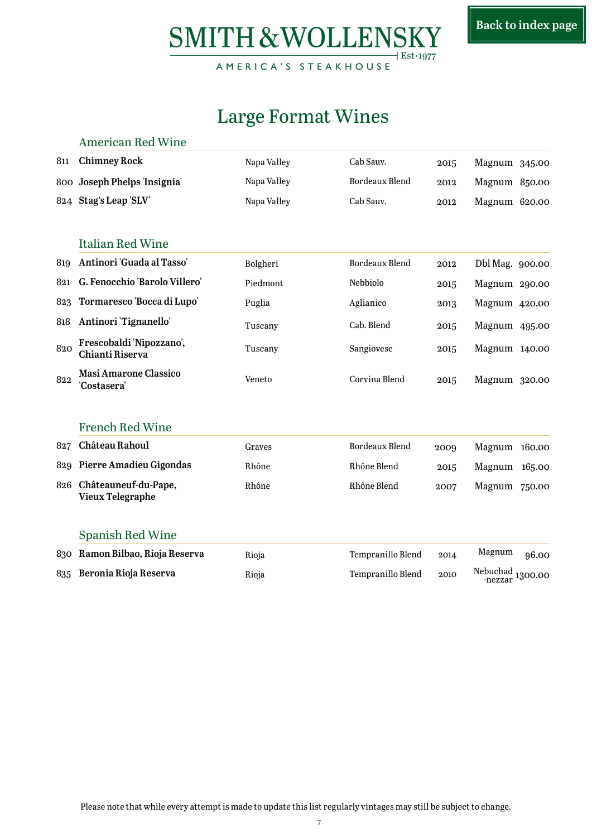SMITH & WOLLENSKY  $+$  Est $\cdot$ 1977

AMERICA'S STEAKHOUSE

# Large Format Wines

|     | <b>American Red Wine</b>                           |             |                       |      |                                    |       |
|-----|----------------------------------------------------|-------------|-----------------------|------|------------------------------------|-------|
| 811 | <b>Chimney Rock</b>                                | Napa Valley | Cab Sauv.             | 2015 | Magnum 345.00                      |       |
|     | 800 Joseph Phelps 'Insignia'                       | Napa Valley | <b>Bordeaux Blend</b> | 2012 | Magnum 850.00                      |       |
| 824 | Stag's Leap 'SLV'                                  | Napa Valley | Cab Sauv.             | 2012 | Magnum 620.00                      |       |
|     |                                                    |             |                       |      |                                    |       |
|     | <b>Italian Red Wine</b>                            |             |                       |      |                                    |       |
| 819 | Antinori 'Guada al Tasso'                          | Bolgheri    | <b>Bordeaux Blend</b> | 2012 | Dbl Mag. 900.00                    |       |
| 821 | G. Fenocchio 'Barolo Villero'                      | Piedmont    | Nebbiolo              | 2015 | Magnum 290.00                      |       |
| 823 | Tormaresco 'Bocca di Lupo'                         | Puglia      | Aglianico             | 2013 | Magnum 420.00                      |       |
| 818 | Antinori 'Tignanello'                              | Tuscany     | Cab. Blend            | 2015 | Magnum 495.00                      |       |
| 820 | Frescobaldi 'Nipozzano',<br><b>Chianti Riserva</b> | Tuscany     | Sangiovese            | 2015 | Magnum 140.00                      |       |
| 822 | <b>Masi Amarone Classico</b><br>'Costasera'        | Veneto      | Corvina Blend         | 2015 | Magnum 320.00                      |       |
|     |                                                    |             |                       |      |                                    |       |
|     | <b>French Red Wine</b>                             |             |                       |      |                                    |       |
| 827 | Château Rahoul                                     | Graves      | <b>Bordeaux Blend</b> | 2009 | Magnum 160.00                      |       |
| 829 | Pierre Amadieu Gigondas                            | Rhône       | Rhône Blend           | 2015 | Magnum 165.00                      |       |
| 826 | Châteauneuf-du-Pape,<br><b>Vieux Telegraphe</b>    | Rhône       | Rhône Blend           | 2007 | Magnum 750.00                      |       |
|     |                                                    |             |                       |      |                                    |       |
|     | <b>Spanish Red Wine</b>                            |             |                       |      |                                    |       |
| 830 | Ramon Bilbao, Rioja Reserva                        | Rioja       | Tempranillo Blend     | 2014 | Magnum                             | 96.00 |
| 835 | Beronia Rioja Reserva                              | Rioja       | Tempranillo Blend     | 2010 | Nebuchad 1300.00<br>nezzar 1300.00 |       |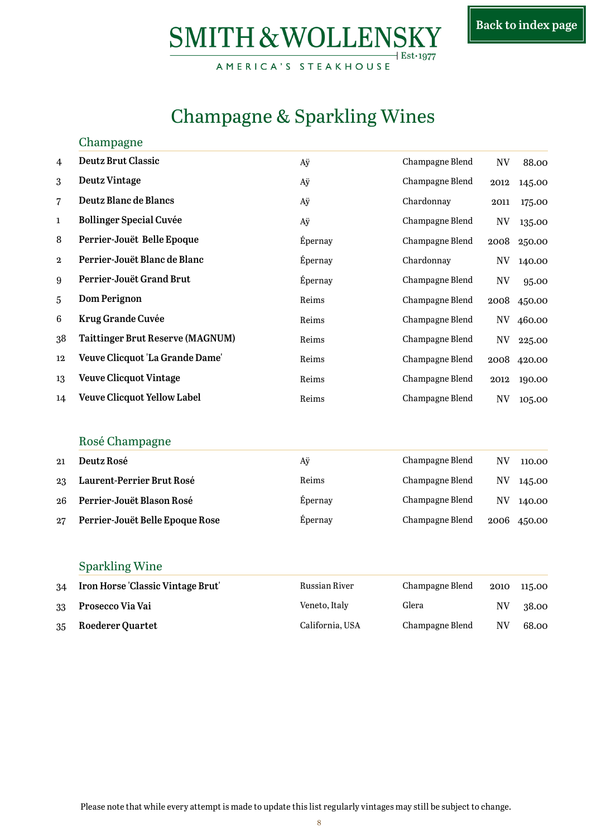AMERICA'S STEAKHOUSE

# Champagne & Sparkling Wines

<span id="page-7-0"></span>

|                          | Champagne                               |                 |                 |           |        |
|--------------------------|-----------------------------------------|-----------------|-----------------|-----------|--------|
| $\overline{4}$           | <b>Deutz Brut Classic</b>               | Aÿ              | Champagne Blend | NV        | 88.00  |
| 3                        | <b>Deutz Vintage</b>                    | Aÿ              | Champagne Blend | 2012      | 145.00 |
| $\overline{\mathcal{L}}$ | Deutz Blanc de Blancs                   | Aÿ              | Chardonnay      | 2011      | 175.00 |
| $\mathbf{1}$             | <b>Bollinger Special Cuvée</b>          | Aÿ              | Champagne Blend | <b>NV</b> | 135.00 |
| 8                        | Perrier-Jouët Belle Epoque              | Épernay         | Champagne Blend | 2008      | 250.00 |
| $\mathbf{2}$             | Perrier-Jouët Blanc de Blanc            | Épernay         | Chardonnay      | NV        | 140.00 |
| $\boldsymbol{9}$         | Perrier-Jouët Grand Brut                | Épernay         | Champagne Blend | <b>NV</b> | 95.00  |
| 5                        | Dom Perignon                            | Reims           | Champagne Blend | 2008      | 450.00 |
| 6                        | Krug Grande Cuvée                       | Reims           | Champagne Blend | N V       | 460.00 |
| 38                       | <b>Taittinger Brut Reserve (MAGNUM)</b> | Reims           | Champagne Blend | NV        | 225.00 |
| 12                       | Veuve Clicquot 'La Grande Dame'         | Reims           | Champagne Blend | 2008      | 420.00 |
| 13                       | <b>Veuve Clicquot Vintage</b>           | Reims           | Champagne Blend | 2012      | 190.00 |
| 14                       | <b>Veuve Clicquot Yellow Label</b>      | Reims           | Champagne Blend | NV        | 105.00 |
|                          | Rosé Champagne                          |                 |                 |           |        |
| 21                       | Deutz Rosé                              | Aÿ              | Champagne Blend | NV        | 110.00 |
| 23                       | Laurent-Perrier Brut Rosé               | Reims           | Champagne Blend | NV        | 145.00 |
| 26                       | Perrier-Jouët Blason Rosé               | Épernay         | Champagne Blend | NV        | 140.00 |
| 27                       | Perrier-Jouët Belle Epoque Rose         | Épernay         | Champagne Blend | 2006      | 450.00 |
|                          | <b>Sparkling Wine</b>                   |                 |                 |           |        |
| 34                       | Iron Horse 'Classic Vintage Brut'       | Russian River   | Champagne Blend | 2010      | 115.00 |
| 33                       | Prosecco Via Vai                        | Veneto, Italy   | Glera           | NV        | 38.00  |
| 35                       | Roederer Quartet                        | California, USA | Champagne Blend | <b>NV</b> | 68.00  |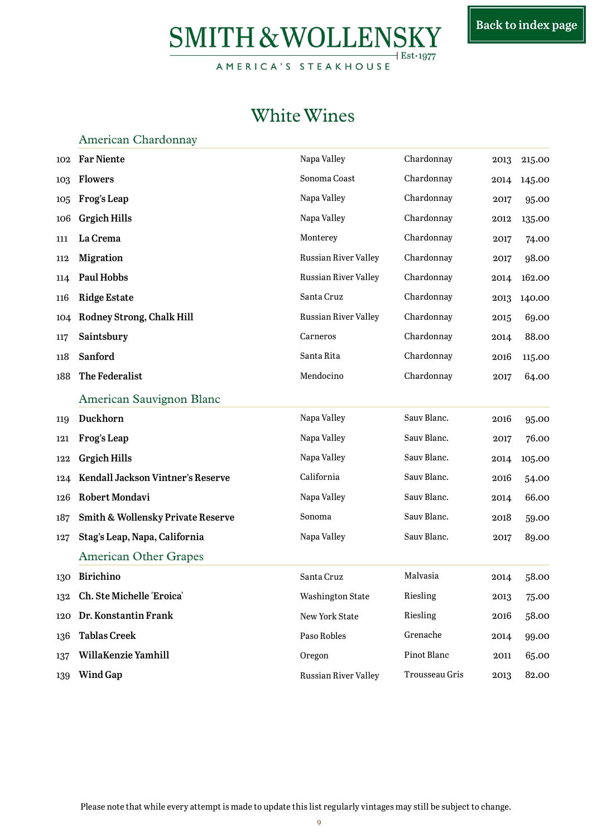AMERICA'S STEAKHOUSE

## White Wines

<span id="page-8-0"></span>

|     | American Chardonnay               |                             |                |          |        |
|-----|-----------------------------------|-----------------------------|----------------|----------|--------|
| 102 | <b>Far Niente</b>                 | Napa Valley                 | Chardonnay     | 2013     | 215.00 |
| 103 | <b>Flowers</b>                    | Sonoma Coast                | Chardonnay     | 2014     | 145.00 |
| 105 | Frog's Leap                       | Napa Valley                 | Chardonnay     | 2017     | 95.00  |
| 106 | <b>Grgich Hills</b>               | Napa Valley                 | Chardonnay     | 2012     | 135.00 |
| 111 | La Crema                          | Monterey                    | Chardonnay     | 2017     | 74.00  |
| 112 | <b>Migration</b>                  | Russian River Valley        | Chardonnay     | 2017     | 98.00  |
| 114 | <b>Paul Hobbs</b>                 | <b>Russian River Valley</b> | Chardonnay     | 2014     | 162.00 |
| 116 | <b>Ridge Estate</b>               | Santa Cruz                  | Chardonnay     | 2013     | 140.00 |
| 104 | Rodney Strong, Chalk Hill         | <b>Russian River Valley</b> | Chardonnay     | 2015     | 69.00  |
| 117 | Saintsbury                        | Carneros                    | Chardonnay     | 2014     | 88.00  |
| 118 | Sanford                           | Santa Rita                  | Chardonnay     | 2016     | 115.00 |
| 188 | The Federalist                    | Mendocino                   | Chardonnay     | 2017     | 64.00  |
|     | American Sauvignon Blanc          |                             |                |          |        |
| 119 | Duckhorn                          | Napa Valley                 | Sauv Blanc.    | 2016     | 95.00  |
| 121 | Frog's Leap                       | Napa Valley                 | Sauv Blanc.    | 2017     | 76.00  |
| 122 | <b>Grgich Hills</b>               | Napa Valley                 | Sauv Blanc.    | 2014     | 105.00 |
| 124 | Kendall Jackson Vintner's Reserve | California                  | Sauv Blanc.    | 2016     | 54.00  |
| 126 | Robert Mondavi                    | Napa Valley                 | Sauv Blanc.    | 2014     | 66.00  |
| 187 | Smith & Wollensky Private Reserve | Sonoma                      | Sauv Blanc.    | 2018     | 59.00  |
| 127 | Stag's Leap, Napa, California     | Napa Valley                 | Sauv Blanc.    | 2017     | 89.00  |
|     | <b>American Other Grapes</b>      |                             |                |          |        |
|     | 130 Birichino                     | Santa Cruz                  | Malvasia       | 2014     | 58.00  |
| 132 | Ch. Ste Michelle 'Eroica'         | <b>Washington State</b>     | Riesling       | 2013     | 75.00  |
| 120 | Dr. Konstantin Frank              | New York State              | Riesling       | 2016     | 58.00  |
| 136 | <b>Tablas Creek</b>               | Paso Robles                 | Grenache       | 2014     | 99.00  |
| 137 | WillaKenzie Yamhill               | Oregon                      | Pinot Blanc    | $2\,011$ | 65.00  |
| 139 | <b>Wind Gap</b>                   | Russian River Valley        | Trousseau Gris | 2013     | 82.00  |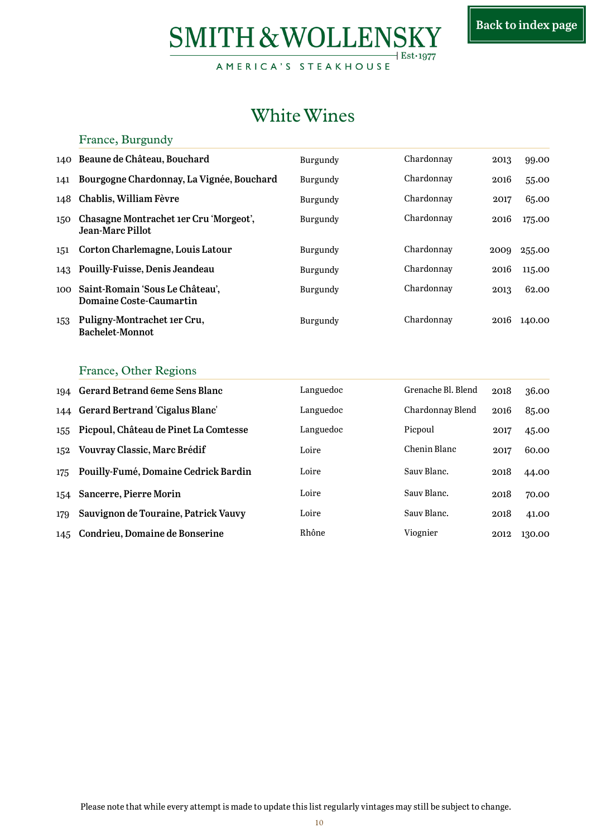AMERICA'S STEAKHOUSE

## White Wines

<span id="page-9-0"></span>

|     | France, Burgundy                                            |          |            |      |        |
|-----|-------------------------------------------------------------|----------|------------|------|--------|
| 140 | Beaune de Château, Bouchard                                 | Burgundy | Chardonnay | 2013 | 99.00  |
| 141 | Bourgogne Chardonnay, La Vignée, Bouchard                   | Burgundy | Chardonnay | 2016 | 55.00  |
| 148 | Chablis, William Fèvre                                      | Burgundy | Chardonnay | 2017 | 65.00  |
| 150 | Chasagne Montrachet 1er Cru 'Morgeot',<br>Jean-Marc Pillot. | Burgundy | Chardonnay | 2016 | 175.00 |
| 151 | Corton Charlemagne, Louis Latour                            | Burgundy | Chardonnay | 2009 | 255.00 |
| 143 | <b>Pouilly-Fuisse, Denis Jeandeau</b>                       | Burgundy | Chardonnay | 2016 | 115.00 |
| 100 | Saint-Romain 'Sous Le Château',<br>Domaine Coste-Caumartin  | Burgundy | Chardonnay | 2013 | 62.00  |
| 153 | Puligny-Montrachet 1er Cru,<br><b>Bachelet-Monnot</b>       | Burgundy | Chardonnay | 2016 | 140.00 |

#### France, Other Regions

|     | 194 Gerard Betrand 6eme Sens Blanc    | Languedoc | Grenache Bl. Blend | 2018 | 36.00  |
|-----|---------------------------------------|-----------|--------------------|------|--------|
|     | 144 Gerard Bertrand 'Cigalus Blanc'   | Languedoc | Chardonnay Blend   | 2016 | 85.00  |
| 155 | Picpoul, Château de Pinet La Comtesse | Languedoc | Picpoul            | 2017 | 45.00  |
| 152 | Vouvray Classic, Marc Brédif          | Loire     | Chenin Blanc       | 2017 | 60.00  |
| 175 | Pouilly-Fumé, Domaine Cedrick Bardin  | Loire     | Sauv Blanc.        | 2018 | 44.00  |
|     | 154 Sancerre, Pierre Morin            | Loire     | Sauv Blanc.        | 2018 | 70.00  |
| 179 | Sauvignon de Touraine, Patrick Vauvy  | Loire     | Sauv Blanc.        | 2018 | 41.00  |
| 145 | Condrieu, Domaine de Bonserine        | Rhône     | Viognier           | 2012 | 130.00 |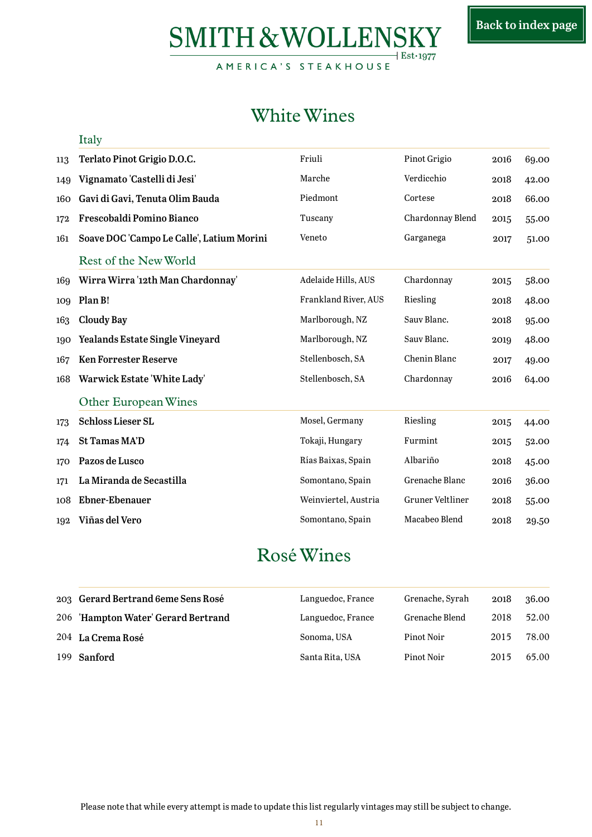#### SMITH & WOLLENSKY  $+$  Est $\cdot$ 1977

AMERICA'S STEAKHOUSE

## White Wines

<span id="page-10-0"></span>

|     | Italy                                     |                      |                  |      |       |
|-----|-------------------------------------------|----------------------|------------------|------|-------|
| 113 | Terlato Pinot Grigio D.O.C.               | Friuli               | Pinot Grigio     | 2016 | 69.00 |
| 149 | Vignamato 'Castelli di Jesi'              | Marche               | Verdicchio       | 2018 | 42.00 |
| 160 | Gavi di Gavi, Tenuta Olim Bauda           | Piedmont             | Cortese          | 2018 | 66.00 |
| 172 | Frescobaldi Pomino Bianco                 | Tuscany              | Chardonnay Blend | 2015 | 55.00 |
| 161 | Soave DOC 'Campo Le Calle', Latium Morini | Veneto               | Garganega        | 2017 | 51.00 |
|     | Rest of the New World                     |                      |                  |      |       |
| 169 | Wirra Wirra '12th Man Chardonnay'         | Adelaide Hills, AUS  | Chardonnay       | 2015 | 58.00 |
| 109 | Plan B!                                   | Frankland River, AUS | Riesling         | 2018 | 48.00 |
| 163 | <b>Cloudy Bay</b>                         | Marlborough, NZ      | Sauv Blanc.      | 2018 | 95.00 |
| 190 | <b>Yealands Estate Single Vineyard</b>    | Marlborough, NZ      | Sauv Blanc.      | 2019 | 48.00 |
| 167 | <b>Ken Forrester Reserve</b>              | Stellenbosch, SA     | Chenin Blanc     | 2017 | 49.00 |
| 168 | Warwick Estate 'White Lady'               | Stellenbosch, SA     | Chardonnay       | 2016 | 64.00 |
|     | <b>Other European Wines</b>               |                      |                  |      |       |
| 173 | <b>Schloss Lieser SL</b>                  | Mosel, Germany       | Riesling         | 2015 | 44.00 |
| 174 | <b>St Tamas MA'D</b>                      | Tokaji, Hungary      | Furmint          | 2015 | 52.00 |
| 170 | Pazos de Lusco                            | Rías Baixas, Spain   | Albariño         | 2018 | 45.00 |
| 171 | La Miranda de Secastilla                  | Somontano, Spain     | Grenache Blanc   | 2016 | 36.00 |
| 108 | Ebner-Ebenauer                            | Weinviertel, Austria | Gruner Veltliner | 2018 | 55.00 |
| 192 | Viñas del Vero                            | Somontano, Spain     | Macabeo Blend    | 2018 | 29.50 |

# Rosé Wines

| 203 Gerard Bertrand 6eme Sens Rosé  | Languedoc, France | Grenache, Syrah | 2018 | 36.00 |
|-------------------------------------|-------------------|-----------------|------|-------|
| 206 'Hampton Water' Gerard Bertrand | Languedoc, France | Grenache Blend  | 2018 | 52.00 |
| 204 La Crema Rosé                   | Sonoma, USA       | Pinot Noir      | 2015 | 78.00 |
| 199 Sanford                         | Santa Rita, USA   | Pinot Noir      | 2015 | 65.00 |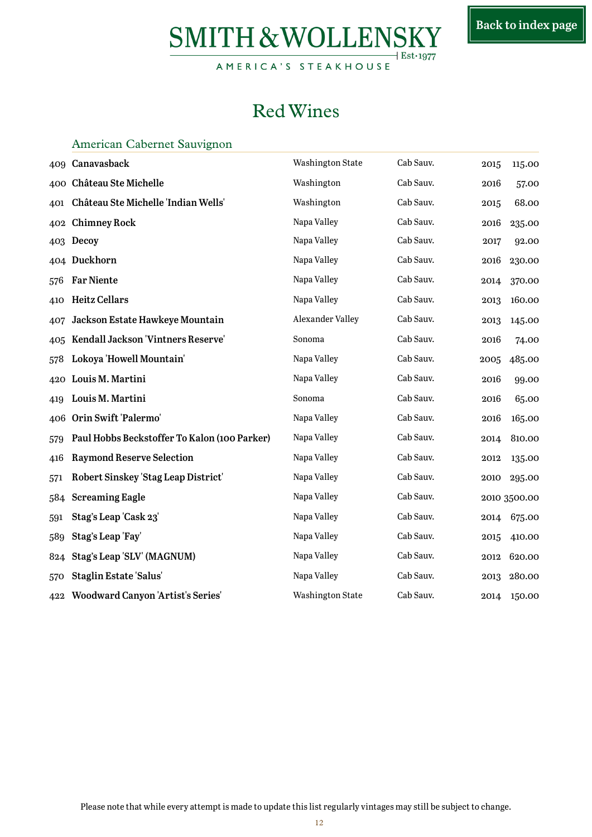AMERICA'S STEAKHOUSE

# Red Wines

#### <span id="page-11-0"></span>American Cabernet Sauvignon

|     | 409 Canavasback                              | <b>Washington State</b> | Cab Sauv. | 2015 | 115.00       |
|-----|----------------------------------------------|-------------------------|-----------|------|--------------|
|     | 400 Château Ste Michelle                     | Washington              | Cab Sauv. | 2016 | 57.00        |
| 401 | Château Ste Michelle 'Indian Wells'          | Washington              | Cab Sauv. | 2015 | 68.00        |
|     | 402 Chimney Rock                             | Napa Valley             | Cab Sauv. | 2016 | 235.00       |
| 403 | Decoy                                        | Napa Valley             | Cab Sauv. | 2017 | 92.00        |
|     | 404 Duckhorn                                 | Napa Valley             | Cab Sauv. | 2016 | 230.00       |
| 576 | <b>Far Niente</b>                            | Napa Valley             | Cab Sauv. | 2014 | 370.00       |
| 410 | <b>Heitz Cellars</b>                         | Napa Valley             | Cab Sauv. | 2013 | 160.00       |
| 407 | Jackson Estate Hawkeye Mountain              | Alexander Valley        | Cab Sauv. | 2013 | 145.00       |
| 405 | Kendall Jackson 'Vintners Reserve'           | Sonoma                  | Cab Sauv. | 2016 | 74.00        |
| 578 | Lokoya 'Howell Mountain'                     | Napa Valley             | Cab Sauv. | 2005 | 485.00       |
| 420 | Louis M. Martini                             | Napa Valley             | Cab Sauv. | 2016 | 99.00        |
| 419 | Louis M. Martini                             | Sonoma                  | Cab Sauv. | 2016 | 65.00        |
|     | 406 Orin Swift 'Palermo'                     | Napa Valley             | Cab Sauv. | 2016 | 165.00       |
| 579 | Paul Hobbs Beckstoffer To Kalon (100 Parker) | Napa Valley             | Cab Sauv. | 2014 | 810.00       |
| 416 | <b>Raymond Reserve Selection</b>             | Napa Valley             | Cab Sauv. | 2012 | 135.00       |
| 571 | Robert Sinskey 'Stag Leap District'          | Napa Valley             | Cab Sauv. | 2010 | 295.00       |
| 584 | <b>Screaming Eagle</b>                       | Napa Valley             | Cab Sauv. |      | 2010 3500.00 |
| 591 | Stag's Leap 'Cask 23'                        | Napa Valley             | Cab Sauv. | 2014 | 675.00       |
| 589 | Stag's Leap 'Fay'                            | Napa Valley             | Cab Sauv. | 2015 | 410.00       |
| 824 | Stag's Leap 'SLV' (MAGNUM)                   | Napa Valley             | Cab Sauv. | 2012 | 620.00       |
| 570 | Staglin Estate 'Salus'                       | Napa Valley             | Cab Sauv. | 2013 | 280.00       |
|     | 422 Woodward Canyon 'Artist's Series'        | <b>Washington State</b> | Cab Sauv. | 2014 | 150.00       |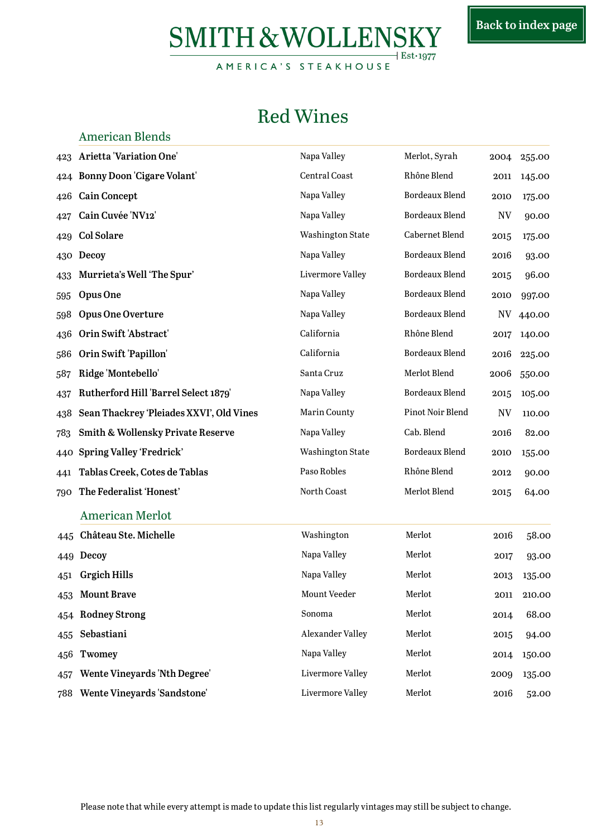AMERICA'S STEAKHOUSE

# Red Wines

<span id="page-12-0"></span>American Blends

| 423 | Arietta 'Variation One'                  | Napa Valley             | Merlot, Syrah         | 2004 | 255.00 |
|-----|------------------------------------------|-------------------------|-----------------------|------|--------|
| 424 | <b>Bonny Doon 'Cigare Volant'</b>        | Central Coast           | Rhône Blend           | 2011 | 145.00 |
| 426 | <b>Cain Concept</b>                      | Napa Valley             | <b>Bordeaux Blend</b> | 2010 | 175.00 |
| 427 | Cain Cuvée 'NV12'                        | Napa Valley             | <b>Bordeaux Blend</b> | NV   | 90.00  |
| 429 | <b>Col Solare</b>                        | <b>Washington State</b> | Cabernet Blend        | 2015 | 175.00 |
| 430 | Decoy                                    | Napa Valley             | <b>Bordeaux Blend</b> | 2016 | 93.00  |
| 433 | Murrieta's Well 'The Spur'               | Livermore Valley        | <b>Bordeaux Blend</b> | 2015 | 96.00  |
| 595 | Opus One                                 | Napa Valley             | <b>Bordeaux Blend</b> | 2010 | 997.00 |
| 598 | <b>Opus One Overture</b>                 | Napa Valley             | <b>Bordeaux Blend</b> | NV   | 440.00 |
| 436 | Orin Swift 'Abstract'                    | California              | Rhône Blend           | 2017 | 140.00 |
| 586 | Orin Swift 'Papillon'                    | California              | <b>Bordeaux Blend</b> | 2016 | 225.00 |
| 587 | Ridge 'Montebello'                       | Santa Cruz              | Merlot Blend          | 2006 | 550.00 |
| 437 | Rutherford Hill 'Barrel Select 1879'     | Napa Valley             | <b>Bordeaux Blend</b> | 2015 | 105.00 |
| 438 | Sean Thackrey 'Pleiades XXVI', Old Vines | <b>Marin County</b>     | Pinot Noir Blend      | NV   | 110.00 |
| 783 | Smith & Wollensky Private Reserve        | Napa Valley             | Cab. Blend            | 2016 | 82.00  |
| 440 | <b>Spring Valley 'Fredrick'</b>          | <b>Washington State</b> | <b>Bordeaux Blend</b> | 2010 | 155.00 |
| 441 | Tablas Creek, Cotes de Tablas            | Paso Robles             | Rhône Blend           | 2012 | 90.00  |
| 790 | The Federalist 'Honest'                  | North Coast             | Merlot Blend          | 2015 | 64.00  |
|     | <b>American Merlot</b>                   |                         |                       |      |        |
| 445 | Château Ste. Michelle                    | Washington              | Merlot                | 2016 | 58.00  |
| 449 | Decoy                                    | Napa Valley             | Merlot                | 2017 | 93.00  |
| 451 | <b>Grgich Hills</b>                      | Napa Valley             | Merlot                | 2013 | 135.00 |
| 453 | <b>Mount Brave</b>                       | Mount Veeder            | Merlot                | 2011 | 210.00 |
|     | 454 Rodney Strong                        | Sonoma                  | Merlot                | 2014 | 68.00  |
| 455 | Sebastiani                               | Alexander Valley        | Merlot                | 2015 | 94.00  |
| 456 | Twomey                                   | Napa Valley             | Merlot                | 2014 | 150.00 |
| 457 | Wente Vineyards 'Nth Degree'             | Livermore Valley        | Merlot                | 2009 | 135.00 |
| 788 | Wente Vineyards 'Sandstone'              | Livermore Valley        | Merlot                | 2016 | 52.00  |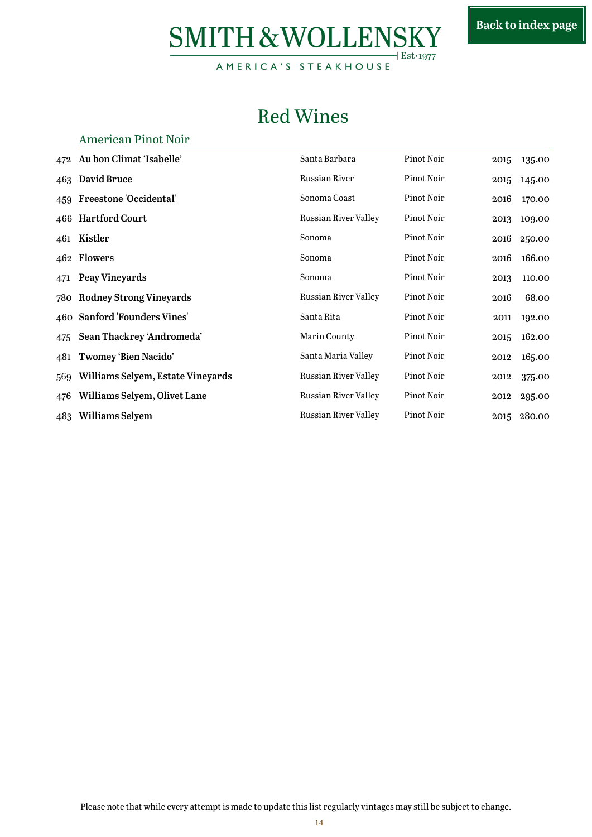AMERICA'S STEAKHOUSE

# Red Wines

<span id="page-13-0"></span>American Pinot Noir

| 472 | Au bon Climat 'Isabelle'          | Santa Barbara               | Pinot Noir | 2015 | 135.00      |
|-----|-----------------------------------|-----------------------------|------------|------|-------------|
|     | 463 David Bruce                   | Russian River               | Pinot Noir | 2015 | 145.00      |
|     | 459 Freestone 'Occidental'        | Sonoma Coast                | Pinot Noir | 2016 | 170.00      |
|     | 466 Hartford Court                | <b>Russian River Valley</b> | Pinot Noir | 2013 | 109.00      |
|     | 461 Kistler                       | Sonoma                      | Pinot Noir |      | 2016 250.00 |
|     | 462 Flowers                       | Sonoma                      | Pinot Noir | 2016 | 166.00      |
| 471 | <b>Peay Vineyards</b>             | Sonoma                      | Pinot Noir | 2013 | 110.00      |
|     | 780 Rodney Strong Vineyards       | <b>Russian River Valley</b> | Pinot Noir | 2016 | 68.00       |
|     | 460 Sanford 'Founders Vines'      | Santa Rita                  | Pinot Noir | 2011 | 192.00      |
| 475 | Sean Thackrey 'Andromeda'         | <b>Marin County</b>         | Pinot Noir | 2015 | 162.00      |
| 481 | Twomey 'Bien Nacido'              | Santa Maria Valley          | Pinot Noir | 2012 | 165.00      |
| 569 | Williams Selyem, Estate Vineyards | Russian River Valley        | Pinot Noir | 2012 | 375.00      |
| 476 | Williams Selyem, Olivet Lane      | Russian River Valley        | Pinot Noir | 2012 | 295.00      |
|     | 483 Williams Selyem               | Russian River Valley        | Pinot Noir |      | 2015 280.00 |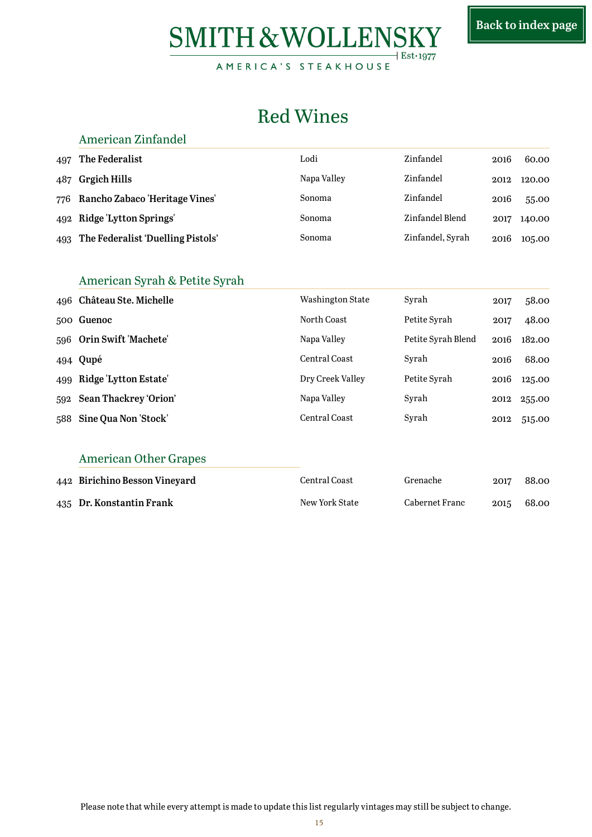### SMITH & WOLLENSKY  $+$  Est $\cdot$ 1977

AMERICA'S STEAKHOUSE

# Red Wines

<span id="page-14-0"></span>

|     | American Zinfandel                |                         |                       |      |        |
|-----|-----------------------------------|-------------------------|-----------------------|------|--------|
| 497 | The Federalist                    | Lodi                    | Zinfandel             | 2016 | 60.00  |
| 487 | <b>Grgich Hills</b>               | Napa Valley             | Zinfandel             | 2012 | 120.00 |
| 776 | Rancho Zabaco 'Heritage Vines'    | Sonoma                  | Zinfandel             | 2016 | 55.00  |
| 492 | Ridge 'Lytton Springs'            | Sonoma                  | Zinfandel Blend       | 2017 | 140.00 |
| 493 | The Federalist 'Duelling Pistols' | Sonoma                  | Zinfandel, Syrah      | 2016 | 105.00 |
|     |                                   |                         |                       |      |        |
|     | American Syrah & Petite Syrah     |                         |                       |      |        |
| 496 | Château Ste. Michelle             | <b>Washington State</b> | Syrah                 | 2017 | 58.00  |
|     | 500 Guenoc                        | North Coast             | Petite Syrah          | 2017 | 48.00  |
| 596 | Orin Swift 'Machete'              | Napa Valley             | Petite Syrah Blend    | 2016 | 182.00 |
| 494 | Qupé                              | <b>Central Coast</b>    | Syrah                 | 2016 | 68.00  |
| 499 | Ridge 'Lytton Estate'             | Dry Creek Valley        | Petite Syrah          | 2016 | 125.00 |
| 592 | <b>Sean Thackrey 'Orion'</b>      | Napa Valley             | Syrah                 | 2012 | 255.00 |
| 588 | Sine Qua Non 'Stock'              | <b>Central Coast</b>    | Syrah                 | 2012 | 515.00 |
|     |                                   |                         |                       |      |        |
|     | <b>American Other Grapes</b>      |                         |                       |      |        |
|     | 442 Birichino Besson Vineyard     | Central Coast           | Grenache              | 2017 | 88.00  |
| 435 | Dr. Konstantin Frank              | New York State          | <b>Cabernet Franc</b> | 2015 | 68.00  |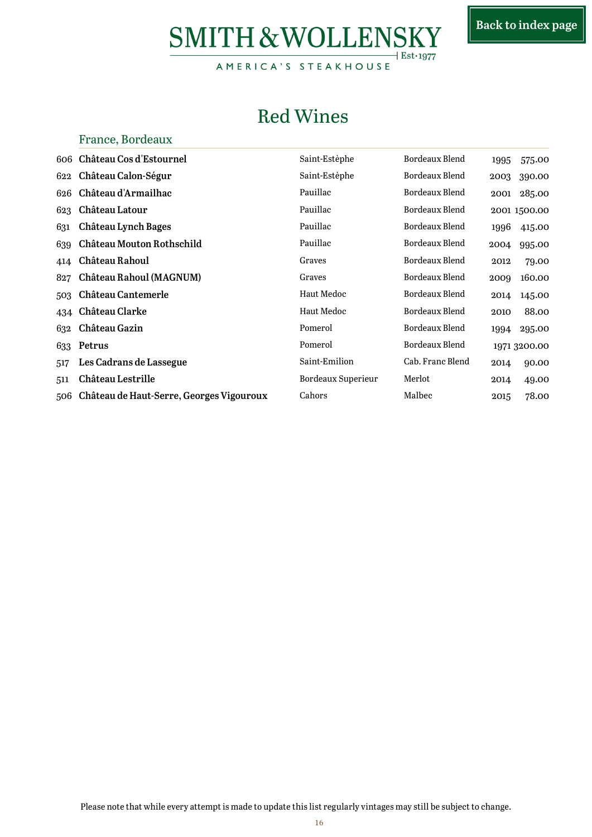AMERICA'S STEAKHOUSE

# Red Wines

<span id="page-15-0"></span>

|     | France, Bordeaux                             |                    |                  |      |              |
|-----|----------------------------------------------|--------------------|------------------|------|--------------|
|     | 606 Château Cos d'Estournel                  | Saint-Estèphe      | Bordeaux Blend   | 1995 | 575.00       |
| 622 | Château Calon-Ségur                          | Saint-Estèphe      | Bordeaux Blend   | 2003 | 390.00       |
| 626 | Château d'Armailhac                          | Pauillac           | Bordeaux Blend   | 2001 | 285.00       |
| 623 | Château Latour                               | Pauillac           | Bordeaux Blend   |      | 2001 1500.00 |
| 631 | <b>Château Lynch Bages</b>                   | Pauillac           | Bordeaux Blend   | 1996 | 415.00       |
| 639 | Château Mouton Rothschild                    | Pauillac           | Bordeaux Blend   | 2004 | 995.00       |
| 414 | Château Rahoul                               | Graves             | Bordeaux Blend   | 2012 | 79.00        |
| 827 | Château Rahoul (MAGNUM)                      | Graves             | Bordeaux Blend   | 2009 | 160.00       |
| 503 | <b>Château Cantemerle</b>                    | <b>Haut Medoc</b>  | Bordeaux Blend   | 2014 | 145.00       |
| 434 | <b>Château Clarke</b>                        | <b>Haut Medoc</b>  | Bordeaux Blend   | 2010 | 88.00        |
| 632 | Château Gazin                                | Pomerol            | Bordeaux Blend   | 1994 | 295.00       |
| 633 | Petrus                                       | Pomerol            | Bordeaux Blend   |      | 1971 3200.00 |
| 517 | Les Cadrans de Lassegue                      | Saint-Emilion      | Cab. Franc Blend | 2014 | 90.00        |
| 511 | Château Lestrille                            | Bordeaux Superieur | Merlot           | 2014 | 49.00        |
|     | 506 Château de Haut-Serre, Georges Vigouroux | Cahors             | Malbec           | 2015 | 78.00        |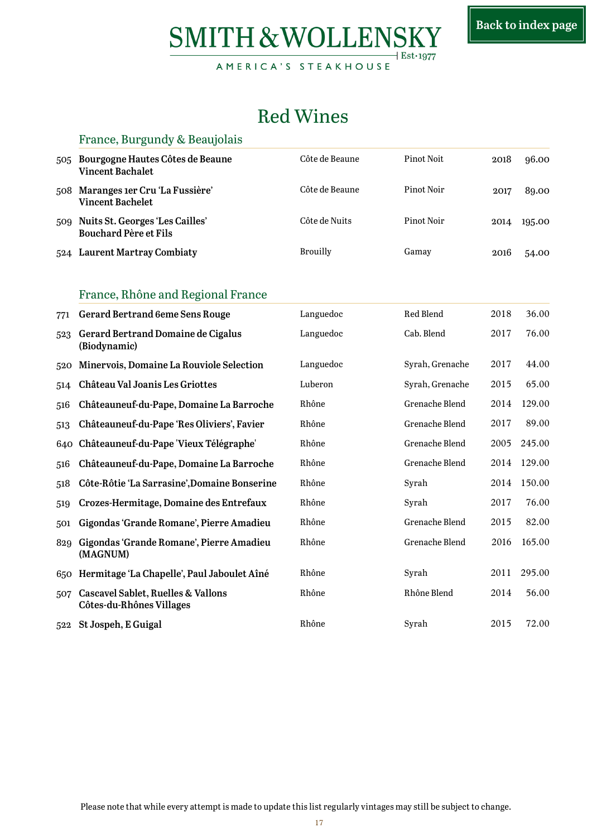## SMITH & WOLLENSKY  $\overline{\phantom{x}}$  Est $\cdot$ 1977

AMERICA'S STEAKHOUSE

# Red Wines

<span id="page-16-0"></span>

|     | France, Burgundy & Beaujolais                                             |                 |                   |      |        |
|-----|---------------------------------------------------------------------------|-----------------|-------------------|------|--------|
| 505 | Bourgogne Hautes Côtes de Beaune<br><b>Vincent Bachalet</b>               | Côte de Beaune  | <b>Pinot Noit</b> | 2018 | 96.00  |
|     | 508 Maranges 1er Cru 'La Fussière'<br><b>Vincent Bachelet</b>             | Côte de Beaune  | Pinot Noir        | 2017 | 89.00  |
| 509 | Nuits St. Georges 'Les Cailles'<br><b>Bouchard Père et Fils</b>           | Côte de Nuits   | Pinot Noir        | 2014 | 195.00 |
|     | 524 Laurent Martray Combiaty                                              | <b>Brouilly</b> | Gamay             | 2016 | 54.00  |
|     | France, Rhône and Regional France                                         |                 |                   |      |        |
| 771 | <b>Gerard Bertrand 6eme Sens Rouge</b>                                    | Languedoc       | Red Blend         | 2018 | 36.00  |
| 523 | Gerard Bertrand Domaine de Cigalus<br>(Biodynamic)                        | Languedoc       | Cab. Blend        | 2017 | 76.00  |
| 520 | Minervois, Domaine La Rouviole Selection                                  | Languedoc       | Syrah, Grenache   | 2017 | 44.00  |
| 514 | Château Val Joanis Les Griottes                                           | Luberon         | Syrah, Grenache   | 2015 | 65.00  |
| 516 | Châteauneuf-du-Pape, Domaine La Barroche                                  | Rhône           | Grenache Blend    | 2014 | 129.00 |
| 513 | Châteauneuf-du-Pape 'Res Oliviers', Favier                                | Rhône           | Grenache Blend    | 2017 | 89.00  |
| 640 | Châteauneuf-du-Pape 'Vieux Télégraphe'                                    | Rhône           | Grenache Blend    | 2005 | 245.00 |
| 516 | Châteauneuf-du-Pape, Domaine La Barroche                                  | Rhône           | Grenache Blend    | 2014 | 129.00 |
| 518 | Côte-Rôtie 'La Sarrasine', Domaine Bonserine                              | Rhône           | Syrah             | 2014 | 150.00 |
| 519 | Crozes-Hermitage, Domaine des Entrefaux                                   | Rhône           | Syrah             | 2017 | 76.00  |
| 501 | Gigondas 'Grande Romane', Pierre Amadieu                                  | Rhône           | Grenache Blend    | 2015 | 82.00  |
| 829 | Gigondas 'Grande Romane', Pierre Amadieu<br>(MAGNUM)                      | Rhône           | Grenache Blend    | 2016 | 165.00 |
|     | 650 Hermitage 'La Chapelle', Paul Jaboulet Aîné                           | Rhône           | Syrah             | 2011 | 295.00 |
| 507 | <b>Cascavel Sablet, Ruelles &amp; Vallons</b><br>Côtes-du-Rhônes Villages | Rhône           | Rhône Blend       | 2014 | 56.00  |
|     | 522 St Jospeh, E Guigal                                                   | Rhône           | Syrah             | 2015 | 72.00  |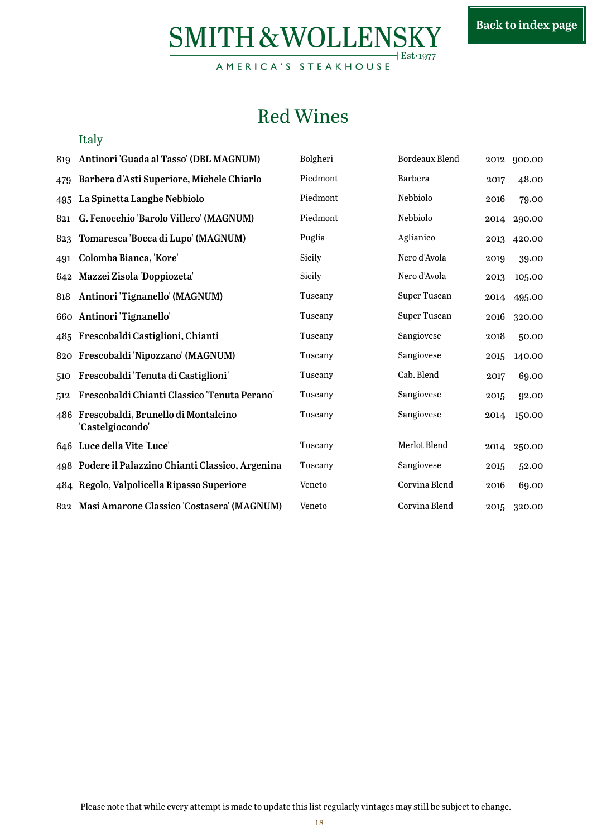AMERICA'S STEAKHOUSE

# Red Wines

#### <span id="page-17-0"></span>Italy

| 819 | Antinori 'Guada al Tasso' (DBL MAGNUM)                  | Bolgheri | <b>Bordeaux Blend</b> | 2012 | 900.00 |
|-----|---------------------------------------------------------|----------|-----------------------|------|--------|
| 479 | Barbera d'Asti Superiore, Michele Chiarlo               | Piedmont | Barbera               | 2017 | 48.00  |
| 495 | La Spinetta Langhe Nebbiolo                             | Piedmont | Nebbiolo              | 2016 | 79.00  |
| 821 | G. Fenocchio 'Barolo Villero' (MAGNUM)                  | Piedmont | Nebbiolo              | 2014 | 290.00 |
| 823 | Tomaresca 'Bocca di Lupo' (MAGNUM)                      | Puglia   | Aglianico             | 2013 | 420.00 |
| 491 | Colomba Bianca, 'Kore'                                  | Sicily   | Nero d'Avola          | 2019 | 39.00  |
| 642 | Mazzei Zisola 'Doppiozeta'                              | Sicily   | Nero d'Avola          | 2013 | 105.00 |
| 818 | Antinori 'Tignanello' (MAGNUM)                          | Tuscany  | Super Tuscan          | 2014 | 495.00 |
|     | 660 Antinori Tignanello'                                | Tuscany  | Super Tuscan          | 2016 | 320.00 |
| 485 | Frescobaldi Castiglioni, Chianti                        | Tuscany  | Sangiovese            | 2018 | 50.00  |
|     | 820 Frescobaldi 'Nipozzano' (MAGNUM)                    | Tuscany  | Sangiovese            | 2015 | 140.00 |
| 510 | Frescobaldi 'Tenuta di Castiglioni'                     | Tuscany  | Cab. Blend            | 2017 | 69.00  |
| 512 | Frescobaldi Chianti Classico 'Tenuta Perano'            | Tuscany  | Sangiovese            | 2015 | 92.00  |
| 486 | Frescobaldi, Brunello di Montalcino<br>'Castelgiocondo' | Tuscany  | Sangiovese            | 2014 | 150.00 |
| 646 | Luce della Vite 'Luce'                                  | Tuscany  | Merlot Blend          | 2014 | 250.00 |
|     | 498 Podere il Palazzino Chianti Classico, Argenina      | Tuscany  | Sangiovese            | 2015 | 52.00  |
|     | 484 Regolo, Valpolicella Ripasso Superiore              | Veneto   | Corvina Blend         | 2016 | 69.00  |
|     | 822 Masi Amarone Classico 'Costasera' (MAGNUM)          | Veneto   | Corvina Blend         | 2015 | 320.00 |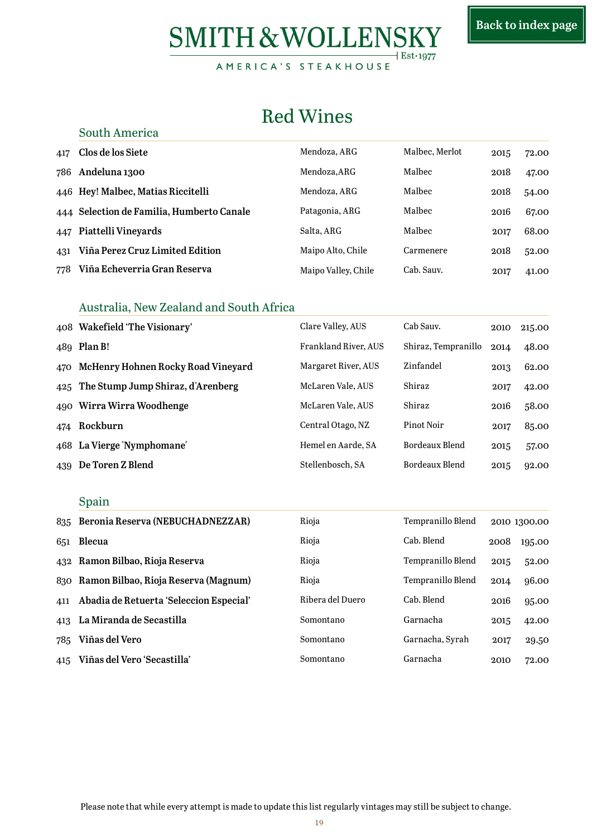# SMITH & WOLLENSKY

# Red Wines

| 417 | Clos de los Siete                         | Mendoza, ARG        | Malbec, Merlot | 2015 | 72.00 |
|-----|-------------------------------------------|---------------------|----------------|------|-------|
| 786 | Andeluna 1300                             | Mendoza, ARG        | Malbec         | 2018 | 47.00 |
|     | 446 Hey! Malbec, Matias Riccitelli        | Mendoza, ARG        | Malbec         | 2018 | 54.00 |
|     | 444 Selection de Familia, Humberto Canale | Patagonia, ARG      | Malbec         | 2016 | 67.00 |
| 447 | Piattelli Vineyards                       | Salta, ARG          | Malbec         | 2017 | 68.00 |
| 431 | Viña Perez Cruz Limited Edition           | Maipo Alto, Chile   | Carmenere      | 2018 | 52.00 |
| 778 | Viña Echeverria Gran Reserva              | Maipo Valley, Chile | Cab. Sauv.     | 2017 | 41.00 |

#### Australia, New Zealand and South Africa

|     | 408 Wakefield 'The Visionary'      | Clare Valley, AUS           | Cab Sauv.           | 2010 | 215.00 |
|-----|------------------------------------|-----------------------------|---------------------|------|--------|
|     | 489 Plan B!                        | <b>Frankland River, AUS</b> | Shiraz, Tempranillo | 2014 | 48.00  |
| 470 | McHenry Hohnen Rocky Road Vineyard | Margaret River, AUS         | Zinfandel           | 2013 | 62.00  |
| 425 | The Stump Jump Shiraz, d'Arenberg  | McLaren Vale, AUS           | Shiraz              | 2017 | 42.00  |
|     | 490 Wirra Wirra Woodhenge          | McLaren Vale, AUS           | Shiraz              | 2016 | 58.00  |
| 474 | Rockburn                           | Central Otago, NZ           | Pinot Noir          | 2017 | 85.00  |
|     | 468 La Vierge 'Nymphomane'         | Hemel en Aarde, SA          | Bordeaux Blend      | 2015 | 57.00  |
|     | 439 De Toren Z Blend               | Stellenbosch, SA            | Bordeaux Blend      | 2015 | 92.00  |

#### Spain

<span id="page-18-0"></span>South America

|     | 835 Beronia Reserva (NEBUCHADNEZZAR)     | Rioja            | Tempranillo Blend |      | 2010 1300.00 |
|-----|------------------------------------------|------------------|-------------------|------|--------------|
| 651 | Blecua                                   | Rioja            | Cab. Blend        | 2008 | 195.00       |
|     | 432 Ramon Bilbao, Rioja Reserva          | Rioja            | Tempranillo Blend | 2015 | 52.00        |
|     | 830 Ramon Bilbao, Rioja Reserva (Magnum) | Rioja            | Tempranillo Blend | 2014 | 96.00        |
| 411 | Abadia de Retuerta 'Seleccion Especial'  | Ribera del Duero | Cab. Blend        | 2016 | 95.00        |
| 413 | La Miranda de Secastilla                 | Somontano        | Garnacha          | 2015 | 42.00        |
| 785 | Viñas del Vero                           | Somontano        | Garnacha, Syrah   | 2017 | 29.50        |
| 415 | Viñas del Vero 'Secastilla'              | Somontano        | Garnacha          | 2010 | 72.00        |